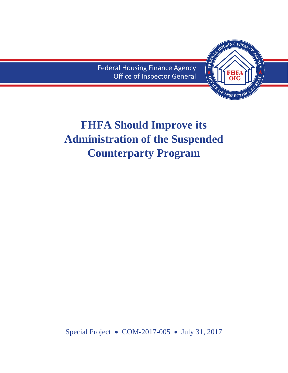Federal Housing Finance Agency Office of Inspector General



# **FHFA Should Improve its Administration of the Suspended Counterparty Program**

Special Project • COM-2017-005 • July 31, 2017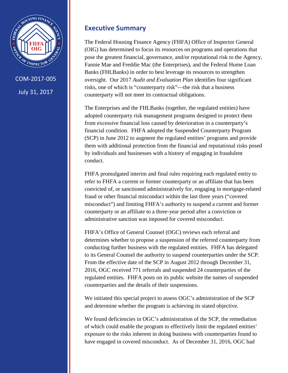<span id="page-1-0"></span>

COM-2017-005 July 31, 2017

### **Executive Summary**

The Federal Housing Finance Agency (FHFA) Office of Inspector General (OIG) has determined to focus its resources on programs and operations that pose the greatest financial, governance, and/or reputational risk to the Agency, Fannie Mae and Freddie Mac (the Enterprises), and the Federal Home Loan Banks (FHLBanks) in order to best leverage its resources to strengthen oversight. Our 2017 *Audit and Evaluation Plan* identifies four significant risks, one of which is "counterparty risk"—the risk that a business counterparty will not meet its contractual obligations.

The Enterprises and the FHLBanks (together, the regulated entities) have adopted counterparty risk management programs designed to protect them from excessive financial loss caused by deterioration in a counterparty's financial condition. FHFA adopted the Suspended Counterparty Program (SCP) in June 2012 to augment the regulated entities' programs and provide them with additional protection from the financial and reputational risks posed by individuals and businesses with a history of engaging in fraudulent conduct.

FHFA promulgated interim and final rules requiring each regulated entity to refer to FHFA a current or former counterparty or an affiliate that has been convicted of, or sanctioned administratively for, engaging in mortgage-related fraud or other financial misconduct within the last three years ("covered misconduct") and limiting FHFA's authority to suspend a current and former counterparty or an affiliate to a three-year period after a conviction or administrative sanction was imposed for covered misconduct.

FHFA's Office of General Counsel (OGC) reviews each referral and determines whether to propose a suspension of the referred counterparty from conducting further business with the regulated entities. FHFA has delegated to its General Counsel the authority to suspend counterparties under the SCP. From the effective date of the SCP in August 2012 through December 31, 2016, OGC received 771 referrals and suspended 24 counterparties of the regulated entities. FHFA posts on its public website the names of suspended counterparties and the details of their suspensions.

We initiated this special project to assess OGC's administration of the SCP and determine whether the program is achieving its stated objective.

We found deficiencies in OGC's administration of the SCP, the remediation of which could enable the program to effectively limit the regulated entities' exposure to the risks inherent in doing business with counterparties found to have engaged in covered misconduct. As of December 31, 2016, OGC had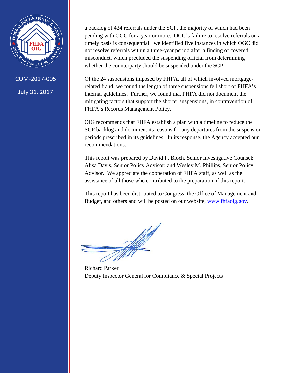

COM-2017-005 July 31, 2017

a backlog of 424 referrals under the SCP, the majority of which had been pending with OGC for a year or more. OGC's failure to resolve referrals on a timely basis is consequential: we identified five instances in which OGC did not resolve referrals within a three-year period after a finding of covered misconduct, which precluded the suspending official from determining whether the counterparty should be suspended under the SCP.

Of the 24 suspensions imposed by FHFA, all of which involved mortgagerelated fraud, we found the length of three suspensions fell short of FHFA's internal guidelines. Further, we found that FHFA did not document the mitigating factors that support the shorter suspensions, in contravention of FHFA's Records Management Policy.

OIG recommends that FHFA establish a plan with a timeline to reduce the SCP backlog and document its reasons for any departures from the suspension periods prescribed in its guidelines. In its response, the Agency accepted our recommendations.

This report was prepared by David P. Bloch, Senior Investigative Counsel; Alisa Davis, Senior Policy Advisor; and Wesley M. Phillips, Senior Policy Advisor. We appreciate the cooperation of FHFA staff, as well as the assistance of all those who contributed to the preparation of this report.

This report has been distributed to Congress, the Office of Management and Budget, and others and will be posted on our website, [www.fhfaoig.gov.](http://www.fhfaoig.gov/)

Richard Parker Deputy Inspector General for Compliance & Special Projects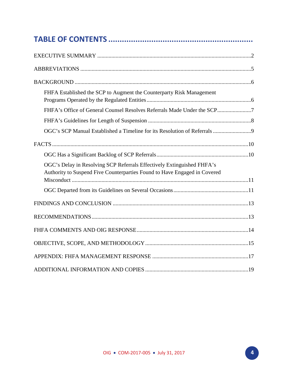| FHFA Established the SCP to Augment the Counterparty Risk Management                                                                                |  |  |
|-----------------------------------------------------------------------------------------------------------------------------------------------------|--|--|
| FHFA's Office of General Counsel Resolves Referrals Made Under the SCP7                                                                             |  |  |
|                                                                                                                                                     |  |  |
|                                                                                                                                                     |  |  |
|                                                                                                                                                     |  |  |
|                                                                                                                                                     |  |  |
| OGC's Delay in Resolving SCP Referrals Effectively Extinguished FHFA's<br>Authority to Suspend Five Counterparties Found to Have Engaged in Covered |  |  |
|                                                                                                                                                     |  |  |
|                                                                                                                                                     |  |  |
|                                                                                                                                                     |  |  |
|                                                                                                                                                     |  |  |
|                                                                                                                                                     |  |  |
|                                                                                                                                                     |  |  |
|                                                                                                                                                     |  |  |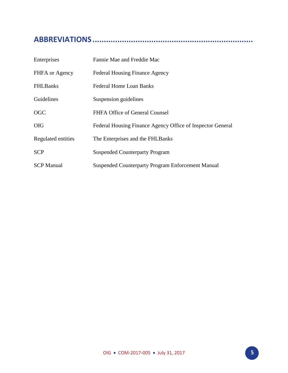## <span id="page-4-0"></span>**ABBREVIATIONS .......................................................................**

| Enterprises        | Fannie Mae and Freddie Mac                                 |
|--------------------|------------------------------------------------------------|
| FHFA or Agency     | <b>Federal Housing Finance Agency</b>                      |
| <b>FHLBanks</b>    | Federal Home Loan Banks                                    |
| Guidelines         | Suspension guidelines                                      |
| <b>OGC</b>         | FHFA Office of General Counsel                             |
| <b>OIG</b>         | Federal Housing Finance Agency Office of Inspector General |
| Regulated entities | The Enterprises and the FHLBanks                           |
| <b>SCP</b>         | <b>Suspended Counterparty Program</b>                      |
| <b>SCP Manual</b>  | Suspended Counterparty Program Enforcement Manual          |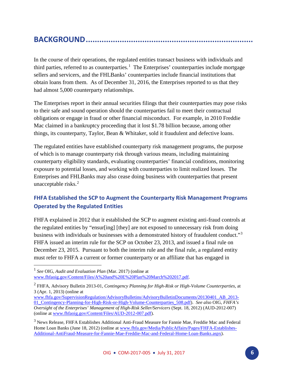### <span id="page-5-0"></span>**BACKGROUND ..........................................................................**

In the course of their operations, the regulated entities transact business with individuals and third parties, referred to as counterparties.<sup>[1](#page-5-2)</sup> The Enterprises' counterparties include mortgage sellers and servicers, and the FHLBanks' counterparties include financial institutions that obtain loans from them. As of December 31, 2016, the Enterprises reported to us that they had almost 5,000 counterparty relationships.

The Enterprises report in their annual securities filings that their counterparties may pose risks to their safe and sound operation should the counterparties fail to meet their contractual obligations or engage in fraud or other financial misconduct. For example, in 2010 Freddie Mac claimed in a bankruptcy proceeding that it lost \$1.78 billion because, among other things, its counterparty, Taylor, Bean & Whitaker, sold it fraudulent and defective loans.

The regulated entities have established counterparty risk management programs, the purpose of which is to manage counterparty risk through various means, including maintaining counterparty eligibility standards, evaluating counterparties' financial conditions, monitoring exposure to potential losses, and working with counterparties to limit realized losses. The Enterprises and FHLBanks may also cease doing business with counterparties that present unacceptable risks. [2](#page-5-3)

### <span id="page-5-1"></span>**FHFA Established the SCP to Augment the Counterparty Risk Management Programs Operated by the Regulated Entities**

FHFA explained in 2012 that it established the SCP to augment existing anti-fraud controls at the regulated entities by "ensur[ing] [they] are not exposed to unnecessary risk from doing business with individuals or businesses with a demonstrated history of fraudulent conduct."<sup>[3](#page-5-4)</sup> FHFA issued an interim rule for the SCP on October 23, 2013, and issued a final rule on December 23, 2015. Pursuant to both the interim rule and the final rule, a regulated entity must refer to FHFA a current or former counterparty or an affiliate that has engaged in

 $\overline{a}$ 

<span id="page-5-2"></span><sup>1</sup> *See* OIG, *Audit and Evaluation Plan* (Mar. 2017) (online at [www.fhfaoig.gov/Content/Files/A%20and%20E%20Plan%20March%202017.pdf.](https://www.fhfaoig.gov/Content/Files/A%20and%20E%20Plan%20March%202017.pdf)

<span id="page-5-3"></span><sup>2</sup> FHFA, Advisory Bulletin 2013-01, *Contingency Planning for High-Risk or High-Volume Counterparties*, at 3 (Apr. 1, 2013) (online at

[www.fhfa.gov/SupervisionRegulation/AdvisoryBulletins/AdvisoryBulletinDocuments/20130401\\_AB\\_2013-](https://www.fhfa.gov/SupervisionRegulation/AdvisoryBulletins/AdvisoryBulletinDocuments/20130401_AB_2013-01_Contingency-Planning-for-High-Risk-or-High-Volume-Counterparties_508.pdf) [01\\_Contingency-Planning-for-High-Risk-or-High-Volume-Counterparties\\_508.pdf\)](https://www.fhfa.gov/SupervisionRegulation/AdvisoryBulletins/AdvisoryBulletinDocuments/20130401_AB_2013-01_Contingency-Planning-for-High-Risk-or-High-Volume-Counterparties_508.pdf). *See also* OIG, *FHFA's Oversight of the Enterprises' Management of High-Risk Seller/Servicers* (Sept. 18, 2012) (AUD-2012-007) (online at [www.fhfaoig.gov/Content/Files/AUD-2012-007.pdf\)](https://www.fhfaoig.gov/Content/Files/AUD-2012-007.pdf).

<span id="page-5-4"></span><sup>3</sup> News Release, FHFA Establishes Additional Anti-Fraud Measure for Fannie Mae, Freddie Mac and Federal Home Loan Banks (June 18, 2012) (online at [www.fhfa.gov/Media/PublicAffairs/Pages/FHFA-Establishes-](https://www.fhfa.gov/Media/PublicAffairs/Pages/FHFA-Establishes-Additional-AntiFraud-Measure-for-Fannie-Mae-Freddie-Mac-and-Federal-Home-Loan-Banks.aspx)[Additional-AntiFraud-Measure-for-Fannie-Mae-Freddie-Mac-and-Federal-Home-Loan-Banks.aspx\)](https://www.fhfa.gov/Media/PublicAffairs/Pages/FHFA-Establishes-Additional-AntiFraud-Measure-for-Fannie-Mae-Freddie-Mac-and-Federal-Home-Loan-Banks.aspx).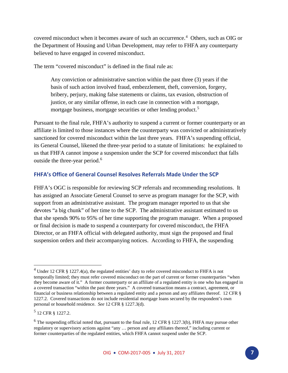covered misconduct when it becomes aware of such an occurrence.<sup>[4](#page-6-1)</sup> Others, such as OIG or the Department of Housing and Urban Development, may refer to FHFA any counterparty believed to have engaged in covered misconduct.

The term "covered misconduct" is defined in the final rule as:

Any conviction or administrative sanction within the past three (3) years if the basis of such action involved fraud, embezzlement, theft, conversion, forgery, bribery, perjury, making false statements or claims, tax evasion, obstruction of justice, or any similar offense, in each case in connection with a mortgage, mortgage business, mortgage securities or other lending product.<sup>[5](#page-6-2)</sup>

Pursuant to the final rule, FHFA's authority to suspend a current or former counterparty or an affiliate is limited to those instances where the counterparty was convicted or administratively sanctioned for covered misconduct within the last three years. FHFA's suspending official, its General Counsel, likened the three-year period to a statute of limitations: he explained to us that FHFA cannot impose a suspension under the SCP for covered misconduct that falls outside the three-year period.<sup>[6](#page-6-3)</sup>

#### <span id="page-6-0"></span>**FHFA's Office of General Counsel Resolves Referrals Made Under the SCP**

FHFA's OGC is responsible for reviewing SCP referrals and recommending resolutions. It has assigned an Associate General Counsel to serve as program manager for the SCP, with support from an administrative assistant. The program manager reported to us that she devotes "a big chunk" of her time to the SCP. The administrative assistant estimated to us that she spends 90% to 95% of her time supporting the program manager. When a proposed or final decision is made to suspend a counterparty for covered misconduct, the FHFA Director, or an FHFA official with delegated authority, must sign the proposed and final suspension orders and their accompanying notices. According to FHFA, the suspending

 $\overline{a}$ 

<span id="page-6-1"></span><sup>&</sup>lt;sup>4</sup> Under 12 CFR § 1227.4(a), the regulated entities' duty to refer covered misconduct to FHFA is not temporally limited; they must refer covered misconduct on the part of current or former counterparties "when they become aware of it." A former counterparty or an affiliate of a regulated entity is one who has engaged in a covered transaction "within the past three years." A covered transaction means a contract, agreement, or financial or business relationship between a regulated entity and a person and any affiliates thereof. 12 CFR § 1227.2. Covered transactions do not include residential mortgage loans secured by the respondent's own personal or household residence. *See* 12 CFR § 1227.3(d).

<span id="page-6-2"></span><sup>5</sup> 12 CFR § 1227.2.

<span id="page-6-3"></span> $6$  The suspending official noted that, pursuant to the final rule, 12 CFR  $\S$  1227.3(b), FHFA may pursue other regulatory or supervisory actions against "any … person and any affiliates thereof," including current or former counterparties of the regulated entities, which FHFA cannot suspend under the SCP.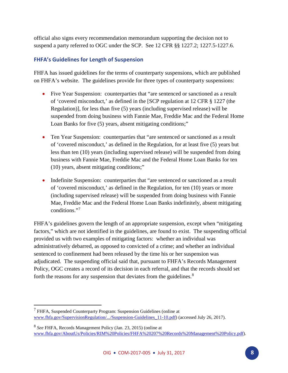official also signs every recommendation memorandum supporting the decision not to suspend a party referred to OGC under the SCP. See 12 CFR §§ 1227.2; 1227.5-1227.6.

### <span id="page-7-0"></span>**FHFA's Guidelines for Length of Suspension**

FHFA has issued guidelines for the terms of counterparty suspensions, which are published on FHFA's website. The guidelines provide for three types of counterparty suspensions:

- Five Year Suspension: counterparties that "are sentenced or sanctioned as a result of 'covered misconduct,' as defined in the [SCP regulation at 12 CFR § 1227 (the Regulation)], for less than five (5) years (including supervised release) will be suspended from doing business with Fannie Mae, Freddie Mac and the Federal Home Loan Banks for five (5) years, absent mitigating conditions;"
- Ten Year Suspension: counterparties that "are sentenced or sanctioned as a result of 'covered misconduct,' as defined in the Regulation, for at least five (5) years but less than ten (10) years (including supervised release) will be suspended from doing business with Fannie Mae, Freddie Mac and the Federal Home Loan Banks for ten (10) years, absent mitigating conditions;"
- Indefinite Suspension: counterparties that "are sentenced or sanctioned as a result of 'covered misconduct,' as defined in the Regulation, for ten (10) years or more (including supervised release) will be suspended from doing business with Fannie Mae, Freddie Mac and the Federal Home Loan Banks indefinitely, absent mitigating conditions."[7](#page-7-1)

FHFA's guidelines govern the length of an appropriate suspension, except when "mitigating factors," which are not identified in the guidelines, are found to exist. The suspending official provided us with two examples of mitigating factors: whether an individual was administratively debarred, as opposed to convicted of a crime; and whether an individual sentenced to confinement had been released by the time his or her suspension was adjudicated. The suspending official said that, pursuant to FHFA's Records Management Policy, OGC creates a record of its decision in each referral, and that the records should set forth the reasons for any suspension that deviates from the guidelines.<sup>[8](#page-7-2)</sup>

 $\overline{a}$ 

<span id="page-7-1"></span><sup>7</sup> FHFA, Suspended Counterparty Program: Suspension Guidelines (online at [www.fhfa.gov/SupervisionRegulation/.../Suspension-Guidelines\\_11-10.pdf\)](https://www.fhfa.gov/SupervisionRegulation/.../Suspension-Guidelines_11-10.pdf) (accessed July 26, 2017).

<span id="page-7-2"></span><sup>8</sup> *See* FHFA, Records Management Policy (Jan. 23, 2015) (online at [www.fhfa.gov/AboutUs/Policies/RIM%20Policies/FHFA%20207%20Records%20Management%20Policy.pdf\)](https://www.fhfa.gov/AboutUs/Policies/RIM%20Policies/FHFA%20207%20Records%20Management%20Policy.pdf).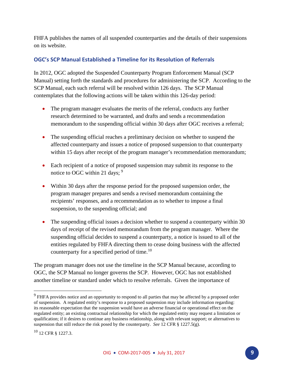FHFA publishes the names of all suspended counterparties and the details of their suspensions on its website.

### <span id="page-8-0"></span>**OGC's SCP Manual Established a Timeline for its Resolution of Referrals**

In 2012, OGC adopted the Suspended Counterparty Program Enforcement Manual (SCP Manual) setting forth the standards and procedures for administering the SCP. According to the SCP Manual, each such referral will be resolved within 126 days. The SCP Manual contemplates that the following actions will be taken within this 126-day period:

- The program manager evaluates the merits of the referral, conducts any further research determined to be warranted, and drafts and sends a recommendation memorandum to the suspending official within 30 days after OGC receives a referral;
- The suspending official reaches a preliminary decision on whether to suspend the affected counterparty and issues a notice of proposed suspension to that counterparty within 15 days after receipt of the program manager's recommendation memorandum;
- Each recipient of a notice of proposed suspension may submit its response to the notice to OGC within 21 days; <sup>[9](#page-8-1)</sup>
- Within 30 days after the response period for the proposed suspension order, the program manager prepares and sends a revised memorandum containing the recipients' responses, and a recommendation as to whether to impose a final suspension, to the suspending official; and
- The suspending official issues a decision whether to suspend a counterparty within 30 days of receipt of the revised memorandum from the program manager. Where the suspending official decides to suspend a counterparty, a notice is issued to all of the entities regulated by FHFA directing them to cease doing business with the affected counterparty for a specified period of time.<sup>[10](#page-8-2)</sup>

The program manager does not use the timeline in the SCP Manual because, according to OGC, the SCP Manual no longer governs the SCP. However, OGC has not established another timeline or standard under which to resolve referrals. Given the importance of

 $\overline{\phantom{a}}$ 

<span id="page-8-1"></span><sup>&</sup>lt;sup>9</sup> FHFA provides notice and an opportunity to respond to all parties that may be affected by a proposed order of suspension. A regulated entity's response to a proposed suspension may include information regarding: its reasonable expectation that the suspension would have an adverse financial or operational effect on the regulated entity; an existing contractual relationship for which the regulated entity may request a limitation or qualification; if it desires to continue any business relationship, along with relevant support; or alternatives to suspension that still reduce the risk posed by the counterparty. *See* 12 CFR § 1227.5(g).

<span id="page-8-2"></span> $10$  12 CFR  $\frac{1227.3}{.}$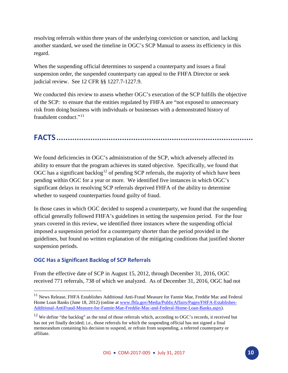resolving referrals within three years of the underlying conviction or sanction, and lacking another standard, we used the timeline in OGC's SCP Manual to assess its efficiency in this regard.

When the suspending official determines to suspend a counterparty and issues a final suspension order, the suspended counterparty can appeal to the FHFA Director or seek judicial review. See 12 CFR §§ 1227.7-1227.9.

We conducted this review to assess whether OGC's execution of the SCP fulfills the objective of the SCP: to ensure that the entities regulated by FHFA are "not exposed to unnecessary risk from doing business with individuals or businesses with a demonstrated history of fraudulent conduct."[11](#page-9-2)

## <span id="page-9-0"></span>**FACTS .......................................................................................**

We found deficiencies in OGC's administration of the SCP, which adversely affected its ability to ensure that the program achieves its stated objective. Specifically, we found that OGC has a significant backlog<sup>12</sup> of pending SCP referrals, the majority of which have been pending within OGC for a year or more. We identified five instances in which OGC's significant delays in resolving SCP referrals deprived FHFA of the ability to determine whether to suspend counterparties found guilty of fraud.

In those cases in which OGC decided to suspend a counterparty, we found that the suspending official generally followed FHFA's guidelines in setting the suspension period. For the four years covered in this review, we identified three instances where the suspending official imposed a suspension period for a counterparty shorter than the period provided in the guidelines, but found no written explanation of the mitigating conditions that justified shorter suspension periods.

#### <span id="page-9-1"></span>**OGC Has a Significant Backlog of SCP Referrals**

 $\overline{\phantom{a}}$ 

From the effective date of SCP in August 15, 2012, through December 31, 2016, OGC received 771 referrals, 738 of which we analyzed. As of December 31, 2016, OGC had not

<span id="page-9-2"></span><sup>&</sup>lt;sup>11</sup> News Release, FHFA Establishes Additional Anti-Fraud Measure for Fannie Mae, Freddie Mac and Federal Home Loan Banks (June 18, 2012) (online at [www.fhfa.gov/Media/PublicAffairs/Pages/FHFA-Establishes-](https://www.fhfa.gov/Media/PublicAffairs/Pages/FHFA-Establishes-Additional-AntiFraud-Measure-for-Fannie-Mae-Freddie-Mac-and-Federal-Home-Loan-Banks.aspx)[Additional-AntiFraud-Measure-for-Fannie-Mae-Freddie-Mac-and-Federal-Home-Loan-Banks.aspx\)](https://www.fhfa.gov/Media/PublicAffairs/Pages/FHFA-Establishes-Additional-AntiFraud-Measure-for-Fannie-Mae-Freddie-Mac-and-Federal-Home-Loan-Banks.aspx).

<span id="page-9-3"></span> $12$  We define "the backlog" as the total of those referrals which, according to OGC's records, it received but has not yet finally decided; i.e., those referrals for which the suspending official has not signed a final memorandum containing his decision to suspend, or refrain from suspending, a referred counterparty or affiliate.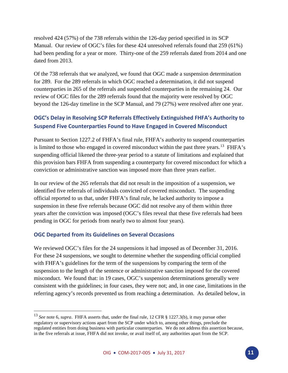resolved 424 (57%) of the 738 referrals within the 126-day period specified in its SCP Manual. Our review of OGC's files for these 424 unresolved referrals found that 259 (61%) had been pending for a year or more. Thirty-one of the 259 referrals dated from 2014 and one dated from 2013.

Of the 738 referrals that we analyzed, we found that OGC made a suspension determination for 289. For the 289 referrals in which OGC reached a determination, it did not suspend counterparties in 265 of the referrals and suspended counterparties in the remaining 24. Our review of OGC files for the 289 referrals found that the majority were resolved by OGC beyond the 126-day timeline in the SCP Manual, and 79 (27%) were resolved after one year.

### <span id="page-10-0"></span>**OGC's Delay in Resolving SCP Referrals Effectively Extinguished FHFA's Authority to Suspend Five Counterparties Found to Have Engaged in Covered Misconduct**

Pursuant to Section 1227.2 of FHFA's final rule, FHFA's authority to suspend counterparties is limited to those who engaged in covered misconduct within the past three years.<sup>13</sup> FHFA's suspending official likened the three-year period to a statute of limitations and explained that this provision bars FHFA from suspending a counterparty for covered misconduct for which a conviction or administrative sanction was imposed more than three years earlier.

In our review of the 265 referrals that did not result in the imposition of a suspension, we identified five referrals of individuals convicted of covered misconduct. The suspending official reported to us that, under FHFA's final rule, he lacked authority to impose a suspension in these five referrals because OGC did not resolve any of them within three years after the conviction was imposed (OGC's files reveal that these five referrals had been pending in OGC for periods from nearly two to almost four years).

#### <span id="page-10-1"></span>**OGC Departed from its Guidelines on Several Occasions**

 $\overline{a}$ 

We reviewed OGC's files for the 24 suspensions it had imposed as of December 31, 2016. For these 24 suspensions, we sought to determine whether the suspending official complied with FHFA's guidelines for the term of the suspensions by comparing the term of the suspension to the length of the sentence or administrative sanction imposed for the covered misconduct. We found that: in 19 cases, OGC's suspension determinations generally were consistent with the guidelines; in four cases, they were not; and, in one case, limitations in the referring agency's records prevented us from reaching a determination. As detailed below, in

<span id="page-10-2"></span><sup>13</sup> *See* note 6, *supra*. FHFA asserts that, under the final rule, 12 CFR § 1227.3(b), it may pursue other regulatory or supervisory actions apart from the SCP under which to, among other things, preclude the regulated entities from doing business with particular counterparties. We do not address this assertion because, in the five referrals at issue, FHFA did not invoke, or avail itself of, any authorities apart from the SCP.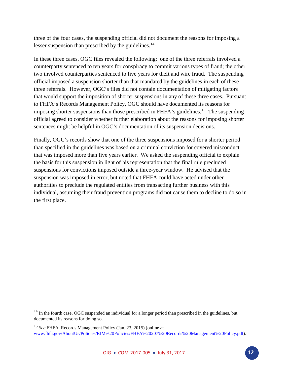three of the four cases, the suspending official did not document the reasons for imposing a lesser suspension than prescribed by the guidelines. $^{14}$  $^{14}$  $^{14}$ 

In these three cases, OGC files revealed the following: one of the three referrals involved a counterparty sentenced to ten years for conspiracy to commit various types of fraud; the other two involved counterparties sentenced to five years for theft and wire fraud. The suspending official imposed a suspension shorter than that mandated by the guidelines in each of these three referrals. However, OGC's files did not contain documentation of mitigating factors that would support the imposition of shorter suspensions in any of these three cases. Pursuant to FHFA's Records Management Policy, OGC should have documented its reasons for imposing shorter suspensions than those prescribed in FHFA's guidelines.<sup>15</sup> The suspending official agreed to consider whether further elaboration about the reasons for imposing shorter sentences might be helpful in OGC's documentation of its suspension decisions.

Finally, OGC's records show that one of the three suspensions imposed for a shorter period than specified in the guidelines was based on a criminal conviction for covered misconduct that was imposed more than five years earlier. We asked the suspending official to explain the basis for this suspension in light of his representation that the final rule precluded suspensions for convictions imposed outside a three-year window. He advised that the suspension was imposed in error, but noted that FHFA could have acted under other authorities to preclude the regulated entities from transacting further business with this individual, assuming their fraud prevention programs did not cause them to decline to do so in the first place.

l

<span id="page-11-0"></span> $14$  In the fourth case, OGC suspended an individual for a longer period than prescribed in the guidelines, but documented its reasons for doing so.

<span id="page-11-1"></span><sup>15</sup> *See* FHFA, Records Management Policy (Jan. 23, 2015) (online at [www.fhfa.gov/AboutUs/Policies/RIM%20Policies/FHFA%20207%20Records%20Management%20Policy.pdf\)](http://www.fhfa.gov/AboutUs/Policies/RIM%20Policies/FHFA%20207%20Records%20Management%20Policy.pdf).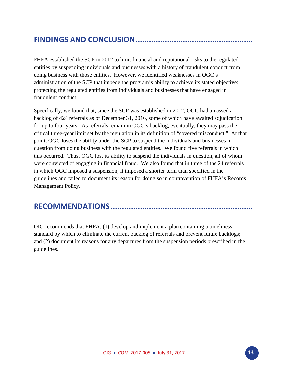### <span id="page-12-0"></span>**FINDINGS AND CONCLUSION ....................................................**

FHFA established the SCP in 2012 to limit financial and reputational risks to the regulated entities by suspending individuals and businesses with a history of fraudulent conduct from doing business with those entities. However, we identified weaknesses in OGC's administration of the SCP that impede the program's ability to achieve its stated objective: protecting the regulated entities from individuals and businesses that have engaged in fraudulent conduct.

Specifically, we found that, since the SCP was established in 2012, OGC had amassed a backlog of 424 referrals as of December 31, 2016, some of which have awaited adjudication for up to four years. As referrals remain in OGC's backlog, eventually, they may pass the critical three-year limit set by the regulation in its definition of "covered misconduct." At that point, OGC loses the ability under the SCP to suspend the individuals and businesses in question from doing business with the regulated entities. We found five referrals in which this occurred. Thus, OGC lost its ability to suspend the individuals in question, all of whom were convicted of engaging in financial fraud. We also found that in three of the 24 referrals in which OGC imposed a suspension, it imposed a shorter term than specified in the guidelines and failed to document its reason for doing so in contravention of FHFA's Records Management Policy.

### <span id="page-12-1"></span>**RECOMMENDATIONS ...............................................................**

OIG recommends that FHFA: (1) develop and implement a plan containing a timeliness standard by which to eliminate the current backlog of referrals and prevent future backlogs; and (2) document its reasons for any departures from the suspension periods prescribed in the guidelines.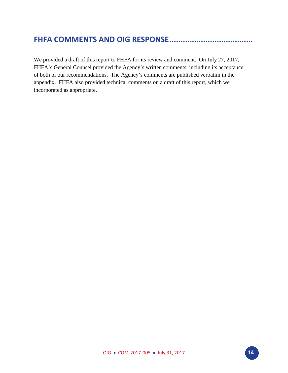### <span id="page-13-0"></span>**FHFA COMMENTS AND OIG RESPONSE .....................................**

We provided a draft of this report to FHFA for its review and comment. On July 27, 2017, FHFA's General Counsel provided the Agency's written comments, including its acceptance of both of our recommendations. The Agency's comments are published verbatim in the appendix. FHFA also provided technical comments on a draft of this report, which we incorporated as appropriate.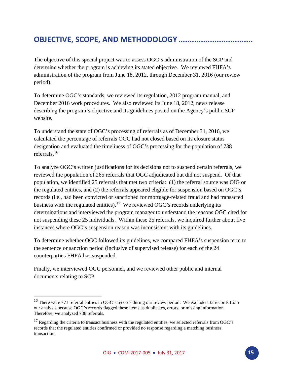### <span id="page-14-0"></span>**OBJECTIVE, SCOPE, AND METHODOLOGY .................................**

The objective of this special project was to assess OGC's administration of the SCP and determine whether the program is achieving its stated objective. We reviewed FHFA's administration of the program from June 18, 2012, through December 31, 2016 (our review period).

To determine OGC's standards, we reviewed its regulation, 2012 program manual, and December 2016 work procedures. We also reviewed its June 18, 2012, news release describing the program's objective and its guidelines posted on the Agency's public SCP website.

To understand the state of OGC's processing of referrals as of December 31, 2016, we calculated the percentage of referrals OGC had not closed based on its closure status designation and evaluated the timeliness of OGC's processing for the population of 738 referrals.[16](#page-14-1)

To analyze OGC's written justifications for its decisions not to suspend certain referrals, we reviewed the population of 265 referrals that OGC adjudicated but did not suspend. Of that population, we identified 25 referrals that met two criteria: (1) the referral source was OIG or the regulated entities, and (2) the referrals appeared eligible for suspension based on OGC's records (i.e., had been convicted or sanctioned for mortgage-related fraud and had transacted business with the regulated entities).<sup>17</sup> We reviewed OGC's records underlying its determinations and interviewed the program manager to understand the reasons OGC cited for not suspending these 25 individuals. Within these 25 referrals, we inquired further about five instances where OGC's suspension reason was inconsistent with its guidelines.

To determine whether OGC followed its guidelines, we compared FHFA's suspension term to the sentence or sanction period (inclusive of supervised release) for each of the 24 counterparties FHFA has suspended.

Finally, we interviewed OGC personnel, and we reviewed other public and internal documents relating to SCP.

l

<span id="page-14-1"></span><sup>&</sup>lt;sup>16</sup> There were 771 referral entries in OGC's records during our review period. We excluded 33 records from our analysis because OGC's records flagged these items as duplicates, errors, or missing information. Therefore, we analyzed 738 referrals.

<span id="page-14-2"></span><sup>&</sup>lt;sup>17</sup> Regarding the criteria to transact business with the regulated entities, we selected referrals from OGC's records that the regulated entities confirmed or provided no response regarding a matching business transaction.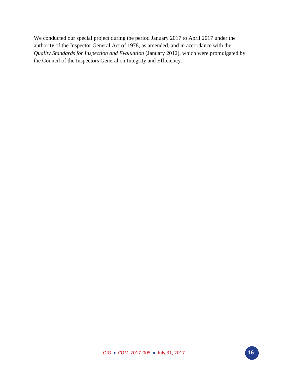We conducted our special project during the period January 2017 to April 2017 under the authority of the Inspector General Act of 1978, as amended, and in accordance with the *Quality Standards for Inspection and Evaluation* (January 2012), which were promulgated by the Council of the Inspectors General on Integrity and Efficiency.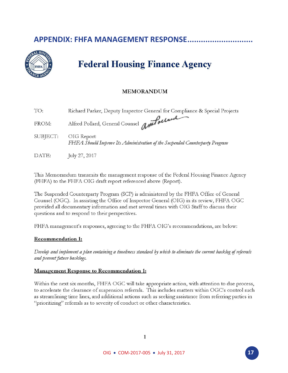### <span id="page-16-0"></span>**APPENDIX: FHFA MANAGEMENT RESPONSE...........**



## **Federal Housing Finance Agency**

### **MEMORANDUM**

| TO:      | Richard Parker, Deputy Inspector General for Compliance & Special Projects                 |
|----------|--------------------------------------------------------------------------------------------|
| FROM:    | Alfred Pollard, General Counsel antolecand                                                 |
| SUBJECT: | OIG Report<br>FHFA Should Improve Its Administration of the Suspended Counterparty Program |
| DATE:    | July 27, 2017                                                                              |

This Memorandum transmits the management response of the Federal Housing Finance Agency (FHFA) to the FHFA OIG draft report referenced above (Report).

The Suspended Counterparty Program (SCP) is administered by the FHFA Office of General Counsel (OGC). In assisting the Office of Inspector General (OIG) in its review, FHFA OGC provided all documentary information and met several times with OIG Staff to discuss their questions and to respond to their perspectives.

FHFA management's responses, agreeing to the FHFA OIG's recommendations, are below:

#### **Recommendation 1:**

Develop and implement a plan containing a timeliness standard by which to eliminate the current backlog of referrals and prevent future backlogs.

#### **Management Response to Recommendation 1:**

Within the next six months, FHFA OGC will take appropriate action, with attention to due process, to accelerate the clearance of suspension referrals. This includes matters within OGC's control such as streamlining time lines, and additional actions such as seeking assistance from referring parties in "prioritizing" referrals as to severity of conduct or other characteristics.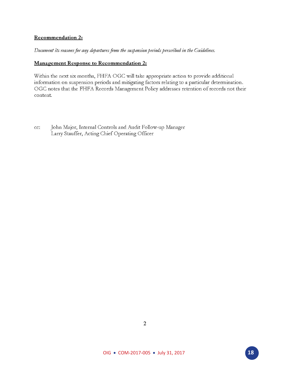#### **Recommendation 2:**

#### Document its reasons for any departures from the suspension periods prescribed in the Guidelines.

#### **Management Response to Recommendation 2:**

Within the next six months, FHFA OGC will take appropriate action to provide additional information on suspension periods and mitigating factors relating to a particular determination. OGC notes that the FHFA Records Management Policy addresses retention of records not their content.

John Major, Internal Controls and Audit Follow-up Manager cc: Larry Stauffer, Acting Chief Operating Officer